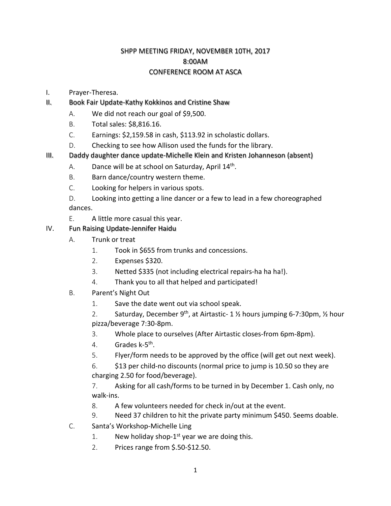#### SHPP MEETING FRIDAY, NOVEMBER 10TH, 2017 8:00AM CONFERENCE ROOM AT ASCA

- I. Prayer-Theresa.
- II. Book Fair Update-Kathy Kokkinos and Cristine Shaw
	- A. We did not reach our goal of \$9,500.
	- B. Total sales: \$8,816.16.
	- C. Earnings: \$2,159.58 in cash, \$113.92 in scholastic dollars.
	- D. Checking to see how Allison used the funds for the library.
- III. Daddy daughter dance update-Michelle Klein and Kristen Johanneson (absent)
	- A. Dance will be at school on Saturday, April  $14<sup>th</sup>$ .
	- B. Barn dance/country western theme.
	- C. Looking for helpers in various spots.
	- D. Looking into getting a line dancer or a few to lead in a few choreographed dances.
	- E. A little more casual this year.
- IV. Fun Raising Update-Jennifer Haidu
	- A. Trunk or treat
		- 1. Took in \$655 from trunks and concessions.
		- 2. Expenses \$320.
		- 3. Netted \$335 (not including electrical repairs-ha ha ha!).
		- 4. Thank you to all that helped and participated!
	- B. Parent's Night Out
		- 1. Save the date went out via school speak.
		- 2. Saturday, December 9<sup>th</sup>, at Airtastic- 1  $\frac{1}{2}$  hours jumping 6-7:30pm,  $\frac{1}{2}$  hour pizza/beverage 7:30-8pm.
		- 3. Whole place to ourselves (After Airtastic closes-from 6pm-8pm).
		- 4. Grades k-5th.
		- 5. Flyer/form needs to be approved by the office (will get out next week).
		- 6. \$13 per child-no discounts (normal price to jump is 10.50 so they are charging 2.50 for food/beverage).
		- 7. Asking for all cash/forms to be turned in by December 1. Cash only, no walk-ins.
		- 8. A few volunteers needed for check in/out at the event.
		- 9. Need 37 children to hit the private party minimum \$450. Seems doable.
	- C. Santa's Workshop-Michelle Ling
		- 1. New holiday shop- $1^{st}$  year we are doing this.
		- 2. Prices range from \$.50-\$12.50.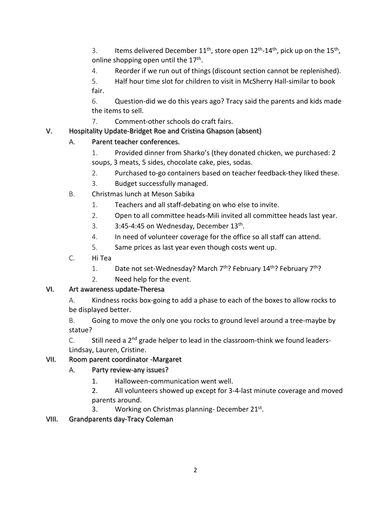3. Items delivered December  $11^{th}$ , store open  $12^{th}$ - $14^{th}$ , pick up on the  $15^{th}$ , online shopping open until the 17<sup>th</sup>.

- 4. Reorder if we run out of things (discount section cannot be replenished).
- 5. Half hour time slot for children to visit in McSherry Hall-similar to book fair.

6. Question-did we do this years ago? Tracy said the parents and kids made the items to sell.

7. Comment-other schools do craft fairs.

### V. Hospitality Update-Bridget Roe and Cristina Ghapson (absent)

## A. Parent teacher conferences.

- 1. Provided dinner from Sharko's (they donated chicken, we purchased: 2 soups, 3 meats, 5 sides, chocolate cake, pies, sodas.
- 2. Purchased to-go containers based on teacher feedback-they liked these.
- 3. Budget successfully managed.
- B. Christmas lunch at Meson Sabika
	- 1. Teachers and all staff-debating on who else to invite.
	- 2. Open to all committee heads-Mili invited all committee heads last year.
	- 3.  $3:45-4:45$  on Wednesday, December  $13<sup>th</sup>$ .
	- 4. In need of volunteer coverage for the office so all staff can attend.
	- 5. Same prices as last year even though costs went up.
- C. Hi Tea
	- 1. Date not set-Wednesday? March  $7<sup>th</sup>$ ? February 14<sup>th</sup>? February  $7<sup>th</sup>$ ?
	- 2. Need help for the event.

# VI. Art awareness update-Theresa

A. Kindness rocks box-going to add a phase to each of the boxes to allow rocks to be displayed better.

B. Going to move the only one you rocks to ground level around a tree-maybe by statue?

C. Still need a  $2^{nd}$  grade helper to lead in the classroom-think we found leaders-Lindsay, Lauren, Cristine.

### VII. Room parent coordinator -Margaret

- A. Party review-any issues?
	- 1. Halloween-communication went well.

2. All volunteers showed up except for 3-4-last minute coverage and moved parents around.

3. Working on Christmas planning-December 21<sup>st</sup>.

VIII. Grandparents day-Tracy Coleman